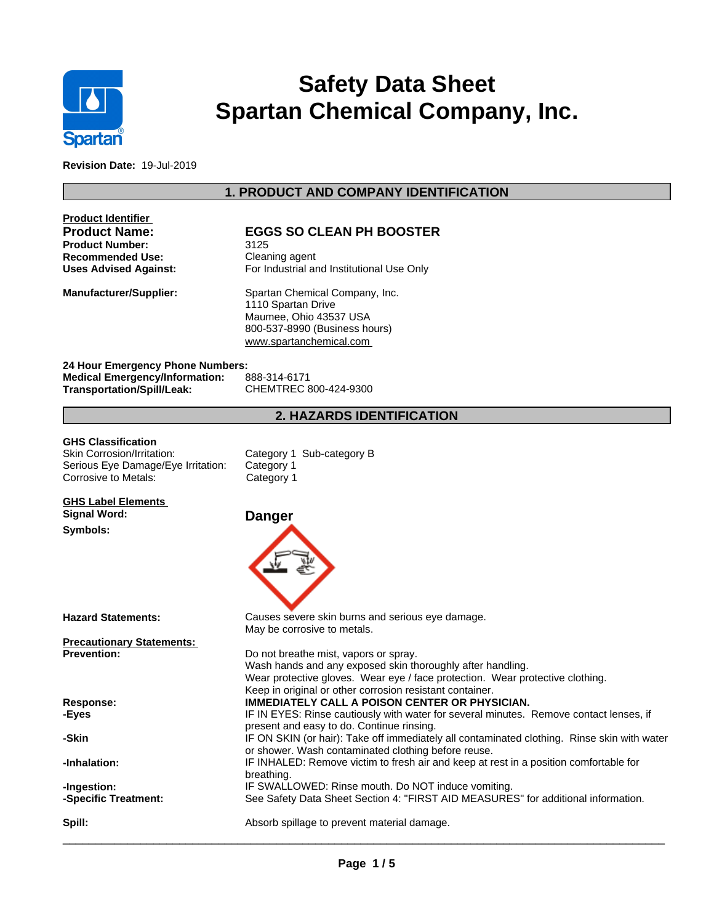

# **Safety Data Sheet Spartan Chemical Company, Inc.**

**Revision Date:** 19-Jul-2019

# **1. PRODUCT AND COMPANY IDENTIFICATION**

|                                       | <b>EGGS SO CLEAN PH BOOSTER</b>                                                                                                         |  |  |  |  |
|---------------------------------------|-----------------------------------------------------------------------------------------------------------------------------------------|--|--|--|--|
| <b>Product Number:</b>                | 3125                                                                                                                                    |  |  |  |  |
| <b>Recommended Use:</b>               | Cleaning agent                                                                                                                          |  |  |  |  |
| <b>Uses Advised Against:</b>          | For Industrial and Institutional Use Only                                                                                               |  |  |  |  |
| <b>Manufacturer/Supplier:</b>         | Spartan Chemical Company, Inc.                                                                                                          |  |  |  |  |
|                                       | 1110 Spartan Drive                                                                                                                      |  |  |  |  |
|                                       | Maumee, Ohio 43537 USA                                                                                                                  |  |  |  |  |
|                                       | 800-537-8990 (Business hours)                                                                                                           |  |  |  |  |
|                                       | www.spartanchemical.com                                                                                                                 |  |  |  |  |
| 24 Hour Emergency Phone Numbers:      |                                                                                                                                         |  |  |  |  |
| <b>Medical Emergency/Information:</b> | 888-314-6171                                                                                                                            |  |  |  |  |
| <b>Transportation/Spill/Leak:</b>     | CHEMTREC 800-424-9300                                                                                                                   |  |  |  |  |
|                                       | <b>2. HAZARDS IDENTIFICATION</b>                                                                                                        |  |  |  |  |
| <b>GHS Classification</b>             |                                                                                                                                         |  |  |  |  |
| Skin Corrosion/Irritation:            | Category 1 Sub-category B                                                                                                               |  |  |  |  |
| Serious Eye Damage/Eye Irritation:    | Category 1                                                                                                                              |  |  |  |  |
| Corrosive to Metals:                  | Category 1                                                                                                                              |  |  |  |  |
| <b>GHS Label Elements</b>             |                                                                                                                                         |  |  |  |  |
| <b>Signal Word:</b>                   | <b>Danger</b>                                                                                                                           |  |  |  |  |
| Symbols:                              |                                                                                                                                         |  |  |  |  |
|                                       |                                                                                                                                         |  |  |  |  |
| <b>Hazard Statements:</b>             | Causes severe skin burns and serious eye damage.<br>May be corrosive to metals.                                                         |  |  |  |  |
| <b>Precautionary Statements:</b>      |                                                                                                                                         |  |  |  |  |
| <b>Prevention:</b>                    | Do not breathe mist, vapors or spray.<br>Wash hands and any exposed skin thoroughly after handling.                                     |  |  |  |  |
|                                       | Wear protective gloves. Wear eye / face protection. Wear protective clothing.                                                           |  |  |  |  |
|                                       | Keep in original or other corrosion resistant container.                                                                                |  |  |  |  |
|                                       |                                                                                                                                         |  |  |  |  |
| Response:                             | <b>IMMEDIATELY CALL A POISON CENTER OR PHYSICIAN.</b>                                                                                   |  |  |  |  |
| -Eyes                                 | IF IN EYES: Rinse cautiously with water for several minutes. Remove contact lenses, if                                                  |  |  |  |  |
|                                       | present and easy to do. Continue rinsing.                                                                                               |  |  |  |  |
| -Skin                                 | IF ON SKIN (or hair): Take off immediately all contaminated clothing. Rinse skin with water                                             |  |  |  |  |
|                                       | or shower. Wash contaminated clothing before reuse.                                                                                     |  |  |  |  |
| -Inhalation:                          | IF INHALED: Remove victim to fresh air and keep at rest in a position comfortable for                                                   |  |  |  |  |
|                                       | breathing.                                                                                                                              |  |  |  |  |
| -Ingestion:<br>-Specific Treatment:   | IF SWALLOWED: Rinse mouth. Do NOT induce vomiting.<br>See Safety Data Sheet Section 4: "FIRST AID MEASURES" for additional information. |  |  |  |  |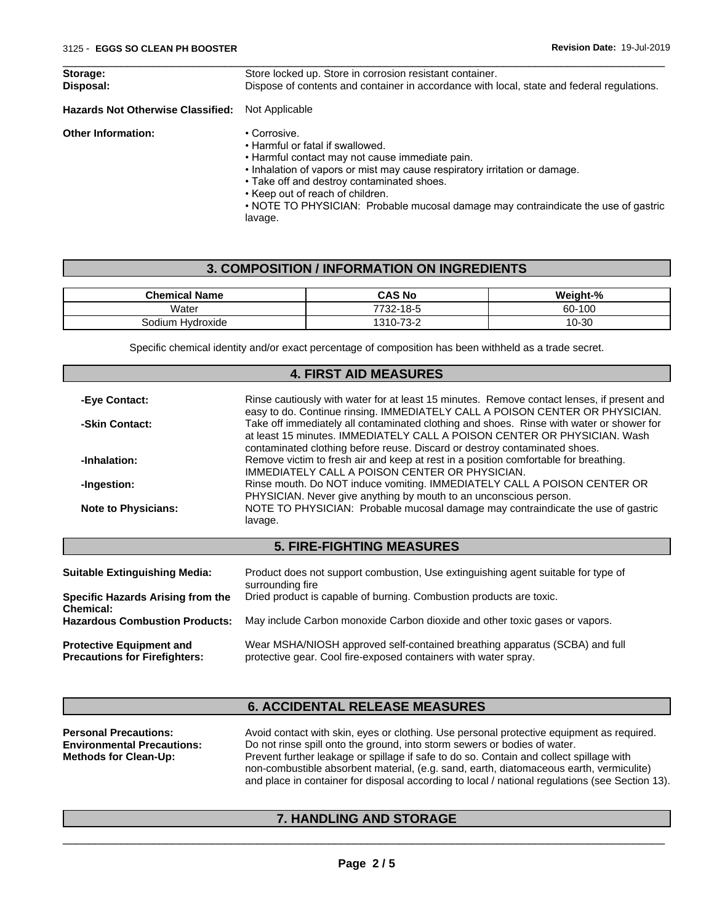| Storage:<br>Disposal:                    | Store locked up. Store in corrosion resistant container.<br>Dispose of contents and container in accordance with local, state and federal regulations.                                                                          |
|------------------------------------------|---------------------------------------------------------------------------------------------------------------------------------------------------------------------------------------------------------------------------------|
| <b>Hazards Not Otherwise Classified:</b> | Not Applicable                                                                                                                                                                                                                  |
| <b>Other Information:</b>                | • Corrosive.<br>• Harmful or fatal if swallowed.<br>. Harmful contact may not cause immediate pain.<br>• Inhalation of vapors or mist may cause respiratory irritation or damage.<br>• Take off and destroy contaminated shoes. |

- Keep out of reach of children.
- NOTE TO PHYSICIAN: Probable mucosal damage may contraindicate the use of gastric lavage.

 $\overline{\phantom{a}}$  ,  $\overline{\phantom{a}}$  ,  $\overline{\phantom{a}}$  ,  $\overline{\phantom{a}}$  ,  $\overline{\phantom{a}}$  ,  $\overline{\phantom{a}}$  ,  $\overline{\phantom{a}}$  ,  $\overline{\phantom{a}}$  ,  $\overline{\phantom{a}}$  ,  $\overline{\phantom{a}}$  ,  $\overline{\phantom{a}}$  ,  $\overline{\phantom{a}}$  ,  $\overline{\phantom{a}}$  ,  $\overline{\phantom{a}}$  ,  $\overline{\phantom{a}}$  ,  $\overline{\phantom{a}}$ 

### **3. COMPOSITION / INFORMATION ON INGREDIENTS**

| <b>Chemical Name</b>       | <b>CAS No</b>                                            | $\sim 0$<br><br>n1-7.   |
|----------------------------|----------------------------------------------------------|-------------------------|
| Water                      | 770c<br><b>40</b><br>כ-סו<br>24۰                         | 60-100                  |
| . .<br>Hvdroxide<br>30dium | $\overline{\phantom{a}}$<br>1310<br>-<br>- ت<br><u>_</u> | $\sim$<br>-30<br>' '∹ວບ |

Specific chemical identity and/or exact percentage of composition has been withheld as a trade secret.

|                                                | <b>4. FIRST AID MEASURES</b>                                                                                                                                                                                                                       |
|------------------------------------------------|----------------------------------------------------------------------------------------------------------------------------------------------------------------------------------------------------------------------------------------------------|
|                                                |                                                                                                                                                                                                                                                    |
| -Eye Contact:                                  | Rinse cautiously with water for at least 15 minutes. Remove contact lenses, if present and<br>easy to do. Continue rinsing. IMMEDIATELY CALL A POISON CENTER OR PHYSICIAN.                                                                         |
| -Skin Contact:                                 | Take off immediately all contaminated clothing and shoes. Rinse with water or shower for<br>at least 15 minutes. IMMEDIATELY CALL A POISON CENTER OR PHYSICIAN, Wash<br>contaminated clothing before reuse. Discard or destroy contaminated shoes. |
| -Inhalation:                                   | Remove victim to fresh air and keep at rest in a position comfortable for breathing.<br>IMMEDIATELY CALL A POISON CENTER OR PHYSICIAN.                                                                                                             |
| -Ingestion:                                    | Rinse mouth. Do NOT induce vomiting. IMMEDIATELY CALL A POISON CENTER OR<br>PHYSICIAN. Never give anything by mouth to an unconscious person.                                                                                                      |
| <b>Note to Physicians:</b>                     | NOTE TO PHYSICIAN: Probable mucosal damage may contraindicate the use of gastric<br>lavage.                                                                                                                                                        |
|                                                | <b>5. FIRE-FIGHTING MEASURES</b>                                                                                                                                                                                                                   |
| <b>Suitable Extinguishing Media:</b>           | Product does not support combustion, Use extinguishing agent suitable for type of<br>surrounding fire                                                                                                                                              |
| Specific Hazards Arising from the<br>Chemical: | Dried product is capable of burning. Combustion products are toxic.                                                                                                                                                                                |
| <b>Hazardous Combustion Products:</b>          | May include Carbon monoxide Carbon dioxide and other toxic gases or vapors.                                                                                                                                                                        |
|                                                | $ML = 0.0011A/0.011 = 0.0001C/0.011 = 0.0001C/0.011C/0.011C/0.011C/0.011C/0.011C/0.011C/0.011C/0.011C/0.011C/0.011C/0.011C/0.011C/0.011C/0.011C/0.011C/0.011C/0.011C/0.011C/0.011C/0.011C/0.011C/0.011C/0.011C/0.011C/0.011C/0.01$                 |

**Protective Equipment and Precautions for Firefighters:** Wear MSHA/NIOSH approved self-contained breathing apparatus (SCBA) and full protective gear. Cool fire-exposed containers with water spray.

# **6. ACCIDENTAL RELEASE MEASURES**

| <b>Personal Precautions:</b>      | Avoid contact with skin, eyes or clothing. Use personal protective equipment as required.       |  |  |  |
|-----------------------------------|-------------------------------------------------------------------------------------------------|--|--|--|
| <b>Environmental Precautions:</b> | Do not rinse spill onto the ground, into storm sewers or bodies of water.                       |  |  |  |
| <b>Methods for Clean-Up:</b>      | Prevent further leakage or spillage if safe to do so. Contain and collect spillage with         |  |  |  |
|                                   | non-combustible absorbent material, (e.g. sand, earth, diatomaceous earth, vermiculite)         |  |  |  |
|                                   | and place in container for disposal according to local / national regulations (see Section 13). |  |  |  |

# **7. HANDLING AND STORAGE**

 $\overline{\phantom{a}}$  ,  $\overline{\phantom{a}}$  ,  $\overline{\phantom{a}}$  ,  $\overline{\phantom{a}}$  ,  $\overline{\phantom{a}}$  ,  $\overline{\phantom{a}}$  ,  $\overline{\phantom{a}}$  ,  $\overline{\phantom{a}}$  ,  $\overline{\phantom{a}}$  ,  $\overline{\phantom{a}}$  ,  $\overline{\phantom{a}}$  ,  $\overline{\phantom{a}}$  ,  $\overline{\phantom{a}}$  ,  $\overline{\phantom{a}}$  ,  $\overline{\phantom{a}}$  ,  $\overline{\phantom{a}}$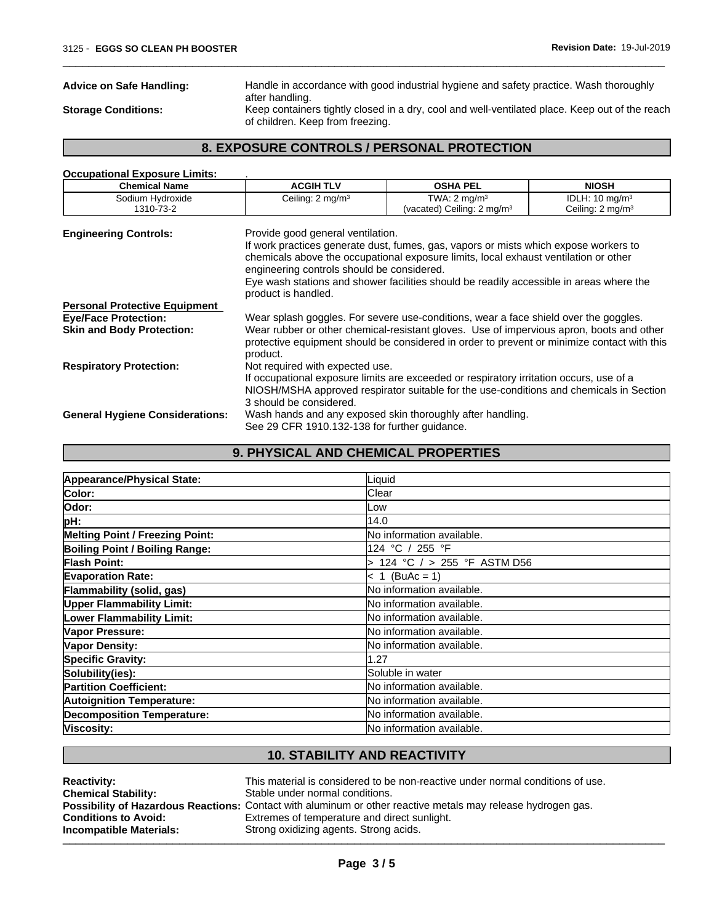**Advice on Safe Handling:** Handle in accordance with good industrial hygiene and safety practice. Wash thoroughly after handling.

 $\overline{\phantom{a}}$  ,  $\overline{\phantom{a}}$  ,  $\overline{\phantom{a}}$  ,  $\overline{\phantom{a}}$  ,  $\overline{\phantom{a}}$  ,  $\overline{\phantom{a}}$  ,  $\overline{\phantom{a}}$  ,  $\overline{\phantom{a}}$  ,  $\overline{\phantom{a}}$  ,  $\overline{\phantom{a}}$  ,  $\overline{\phantom{a}}$  ,  $\overline{\phantom{a}}$  ,  $\overline{\phantom{a}}$  ,  $\overline{\phantom{a}}$  ,  $\overline{\phantom{a}}$  ,  $\overline{\phantom{a}}$ 

**Storage Conditions:** Keep containers tightly closed in a dry, cool and well-ventilated place. Keep out of the reach of children. Keep from freezing.

# **8. EXPOSURE CONTROLS / PERSONAL PROTECTION**

| <b>Occupational Exposure Limits:</b>   |                                                                                                        |                                                                                                                                                                                                                                                                         |                             |
|----------------------------------------|--------------------------------------------------------------------------------------------------------|-------------------------------------------------------------------------------------------------------------------------------------------------------------------------------------------------------------------------------------------------------------------------|-----------------------------|
| <b>Chemical Name</b>                   | <b>ACGIH TLV</b>                                                                                       | <b>OSHA PEL</b>                                                                                                                                                                                                                                                         | <b>NIOSH</b>                |
| Sodium Hydroxide                       | Ceiling: 2 mg/m <sup>3</sup>                                                                           | TWA: $2 \text{ mg/m}^3$                                                                                                                                                                                                                                                 | IDLH: $10 \text{ mg/m}^3$   |
| 1310-73-2                              |                                                                                                        | (vacated) Ceiling: $2 \text{ mg/m}^3$                                                                                                                                                                                                                                   | Ceiling: $2 \text{ mg/m}^3$ |
| <b>Engineering Controls:</b>           | Provide good general ventilation.<br>engineering controls should be considered.<br>product is handled. | If work practices generate dust, fumes, gas, vapors or mists which expose workers to<br>chemicals above the occupational exposure limits, local exhaust ventilation or other<br>Eye wash stations and shower facilities should be readily accessible in areas where the |                             |
| <b>Personal Protective Equipment</b>   |                                                                                                        |                                                                                                                                                                                                                                                                         |                             |
| <b>Eye/Face Protection:</b>            |                                                                                                        | Wear splash goggles. For severe use-conditions, wear a face shield over the goggles.                                                                                                                                                                                    |                             |
| <b>Skin and Body Protection:</b>       | product.                                                                                               | Wear rubber or other chemical-resistant gloves. Use of impervious apron, boots and other<br>protective equipment should be considered in order to prevent or minimize contact with this                                                                                 |                             |
| <b>Respiratory Protection:</b>         | Not required with expected use.                                                                        | If occupational exposure limits are exceeded or respiratory irritation occurs, use of a<br>NIOSH/MSHA approved respirator suitable for the use-conditions and chemicals in Section                                                                                      |                             |
| <b>General Hygiene Considerations:</b> | 3 should be considered.<br>See 29 CFR 1910.132-138 for further guidance.                               | Wash hands and any exposed skin thoroughly after handling.                                                                                                                                                                                                              |                             |

| Appearance/Physical State:             | Liquid                            |
|----------------------------------------|-----------------------------------|
| Color:                                 | Clear                             |
| Odor:                                  | Low                               |
| pH:                                    | 14.0                              |
| <b>Melting Point / Freezing Point:</b> | <b>No information available.</b>  |
| <b>Boiling Point / Boiling Range:</b>  | 124 °C / 255 °F                   |
| <b>Flash Point:</b>                    | > 124 °C / > 255 °F ASTM D56      |
| <b>Evaporation Rate:</b>               | $< 1$ (BuAc = 1)                  |
| Flammability (solid, gas)              | <b>No information available.</b>  |
| <b>Upper Flammability Limit:</b>       | <b>No information available.</b>  |
| <b>Lower Flammability Limit:</b>       | <b>INo information available.</b> |
| Vapor Pressure:                        | <b>No information available.</b>  |
| Vapor Density:                         | <b>No information available.</b>  |
| <b>Specific Gravity:</b>               | 1.27                              |
| Solubility(ies):                       | Soluble in water                  |
| <b>Partition Coefficient:</b>          | <b>No information available.</b>  |
| <b>Autoignition Temperature:</b>       | <b>No information available.</b>  |
| <b>Decomposition Temperature:</b>      | No information available.         |
| Viscosity:                             | <b>No information available.</b>  |

**9. PHYSICAL AND CHEMICAL PROPERTIES**

## **10. STABILITY AND REACTIVITY**

| <b>Reactivity:</b>          | This material is considered to be non-reactive under normal conditions of use.                               |
|-----------------------------|--------------------------------------------------------------------------------------------------------------|
| <b>Chemical Stability:</b>  | Stable under normal conditions.                                                                              |
|                             | Possibility of Hazardous Reactions: Contact with aluminum or other reactive metals may release hydrogen gas. |
| <b>Conditions to Avoid:</b> | Extremes of temperature and direct sunlight.                                                                 |
| Incompatible Materials:     | Strong oxidizing agents. Strong acids.                                                                       |
|                             |                                                                                                              |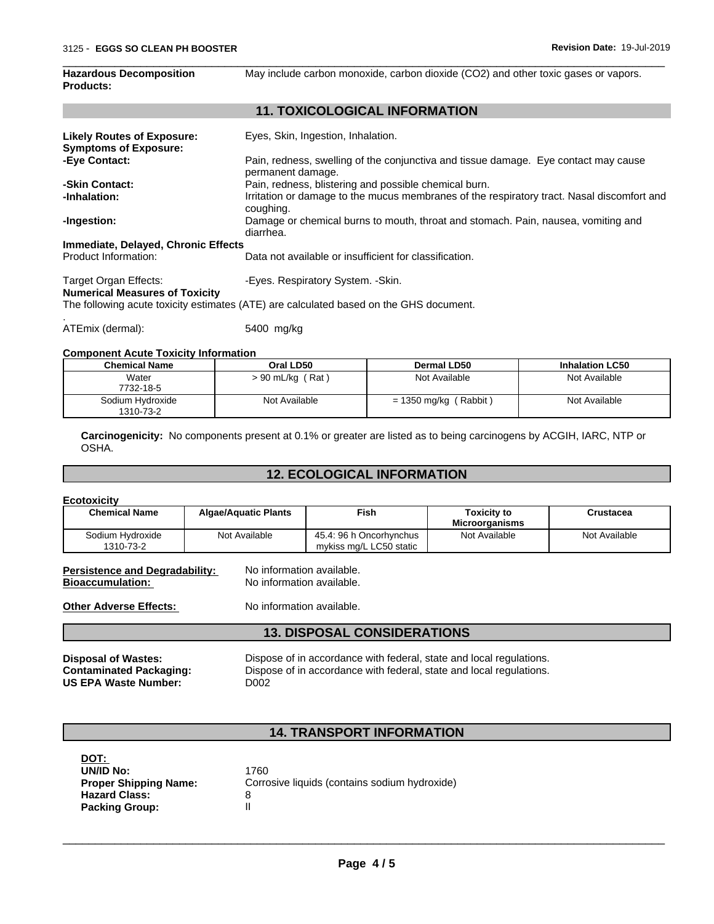**Hazardous Decomposition**

| <b>Products:</b>                                                  |                                                                                                          |
|-------------------------------------------------------------------|----------------------------------------------------------------------------------------------------------|
|                                                                   | <b>11. TOXICOLOGICAL INFORMATION</b>                                                                     |
| <b>Likely Routes of Exposure:</b><br><b>Symptoms of Exposure:</b> | Eyes, Skin, Ingestion, Inhalation.                                                                       |
| -Eye Contact:                                                     | Pain, redness, swelling of the conjunctiva and tissue damage. Eye contact may cause<br>permanent damage. |
| -Skin Contact:                                                    | Pain, redness, blistering and possible chemical burn.                                                    |
| -Inhalation:                                                      | Irritation or damage to the mucus membranes of the respiratory tract. Nasal discomfort and<br>coughing.  |
| -Ingestion:                                                       | Damage or chemical burns to mouth, throat and stomach. Pain, nausea, vomiting and<br>diarrhea.           |
| Immediate, Delayed, Chronic Effects                               |                                                                                                          |
| Product Information:                                              | Data not available or insufficient for classification.                                                   |
| Target Organ Effects:<br><b>Numerical Measures of Toxicity</b>    | -Eyes. Respiratory System. - Skin.                                                                       |
|                                                                   | The following acute toxicity estimates (ATE) are calculated based on the GHS document.                   |
| ATEmix (dermal):                                                  | 5400 mg/kg                                                                                               |

 $\overline{\phantom{a}}$  ,  $\overline{\phantom{a}}$  ,  $\overline{\phantom{a}}$  ,  $\overline{\phantom{a}}$  ,  $\overline{\phantom{a}}$  ,  $\overline{\phantom{a}}$  ,  $\overline{\phantom{a}}$  ,  $\overline{\phantom{a}}$  ,  $\overline{\phantom{a}}$  ,  $\overline{\phantom{a}}$  ,  $\overline{\phantom{a}}$  ,  $\overline{\phantom{a}}$  ,  $\overline{\phantom{a}}$  ,  $\overline{\phantom{a}}$  ,  $\overline{\phantom{a}}$  ,  $\overline{\phantom{a}}$ 

May include carbon monoxide, carbon dioxide (CO2) and other toxic gases or vapors.

### **Component Acute Toxicity Information**

| <b>Chemical Name</b>          | Oral LD50             | Dermal LD50                        | <b>Inhalation LC50</b> |
|-------------------------------|-----------------------|------------------------------------|------------------------|
| Water                         | (Rat)<br>> 90 mL/kg ( | Not Available                      | Not Available          |
| 7732-18-5                     |                       |                                    |                        |
| Sodium Hydroxide<br>1310-73-2 | Not Available         | Rabbit)<br>$= 1350$ mg/kg $\prime$ | Not Available          |

**Carcinogenicity:** No components present at 0.1% or greater are listed as to being carcinogens by ACGIH, IARC, NTP or OSHA.

# **12. ECOLOGICAL INFORMATION**

| <b>Ecotoxicity</b>                                                                                                                                                                                                                                             |                                                                                     |                                                    |                                             |                  |
|----------------------------------------------------------------------------------------------------------------------------------------------------------------------------------------------------------------------------------------------------------------|-------------------------------------------------------------------------------------|----------------------------------------------------|---------------------------------------------|------------------|
| <b>Chemical Name</b>                                                                                                                                                                                                                                           | <b>Algae/Aquatic Plants</b>                                                         | <b>Fish</b>                                        | <b>Toxicity to</b><br><b>Microorganisms</b> | <b>Crustacea</b> |
| Sodium Hydroxide<br>1310-73-2                                                                                                                                                                                                                                  | Not Available                                                                       | 45.4: 96 h Oncorhynchus<br>mykiss mg/L LC50 static | Not Available                               | Not Available    |
| <b>Persistence and Degradability:</b><br><b>Bioaccumulation:</b><br><b>Other Adverse Effects:</b>                                                                                                                                                              | No information available.<br>No information available.<br>No information available. |                                                    |                                             |                  |
|                                                                                                                                                                                                                                                                |                                                                                     | <b>13. DISPOSAL CONSIDERATIONS</b>                 |                                             |                  |
| Dispose of in accordance with federal, state and local regulations.<br><b>Disposal of Wastes:</b><br>Dispose of in accordance with federal, state and local regulations.<br><b>Contaminated Packaging:</b><br><b>US EPA Waste Number:</b><br>D <sub>0</sub> 02 |                                                                                     |                                                    |                                             |                  |
|                                                                                                                                                                                                                                                                |                                                                                     |                                                    |                                             |                  |
|                                                                                                                                                                                                                                                                |                                                                                     | <b>14. TRANSPORT INFORMATION</b>                   |                                             |                  |

| DOT:                         |                                               |
|------------------------------|-----------------------------------------------|
| UN/ID No:                    | 1760                                          |
| <b>Proper Shipping Name:</b> | Corrosive liquids (contains sodium hydroxide) |
| <b>Hazard Class:</b>         |                                               |
| <b>Packing Group:</b>        |                                               |

 $\overline{\phantom{a}}$  ,  $\overline{\phantom{a}}$  ,  $\overline{\phantom{a}}$  ,  $\overline{\phantom{a}}$  ,  $\overline{\phantom{a}}$  ,  $\overline{\phantom{a}}$  ,  $\overline{\phantom{a}}$  ,  $\overline{\phantom{a}}$  ,  $\overline{\phantom{a}}$  ,  $\overline{\phantom{a}}$  ,  $\overline{\phantom{a}}$  ,  $\overline{\phantom{a}}$  ,  $\overline{\phantom{a}}$  ,  $\overline{\phantom{a}}$  ,  $\overline{\phantom{a}}$  ,  $\overline{\phantom{a}}$